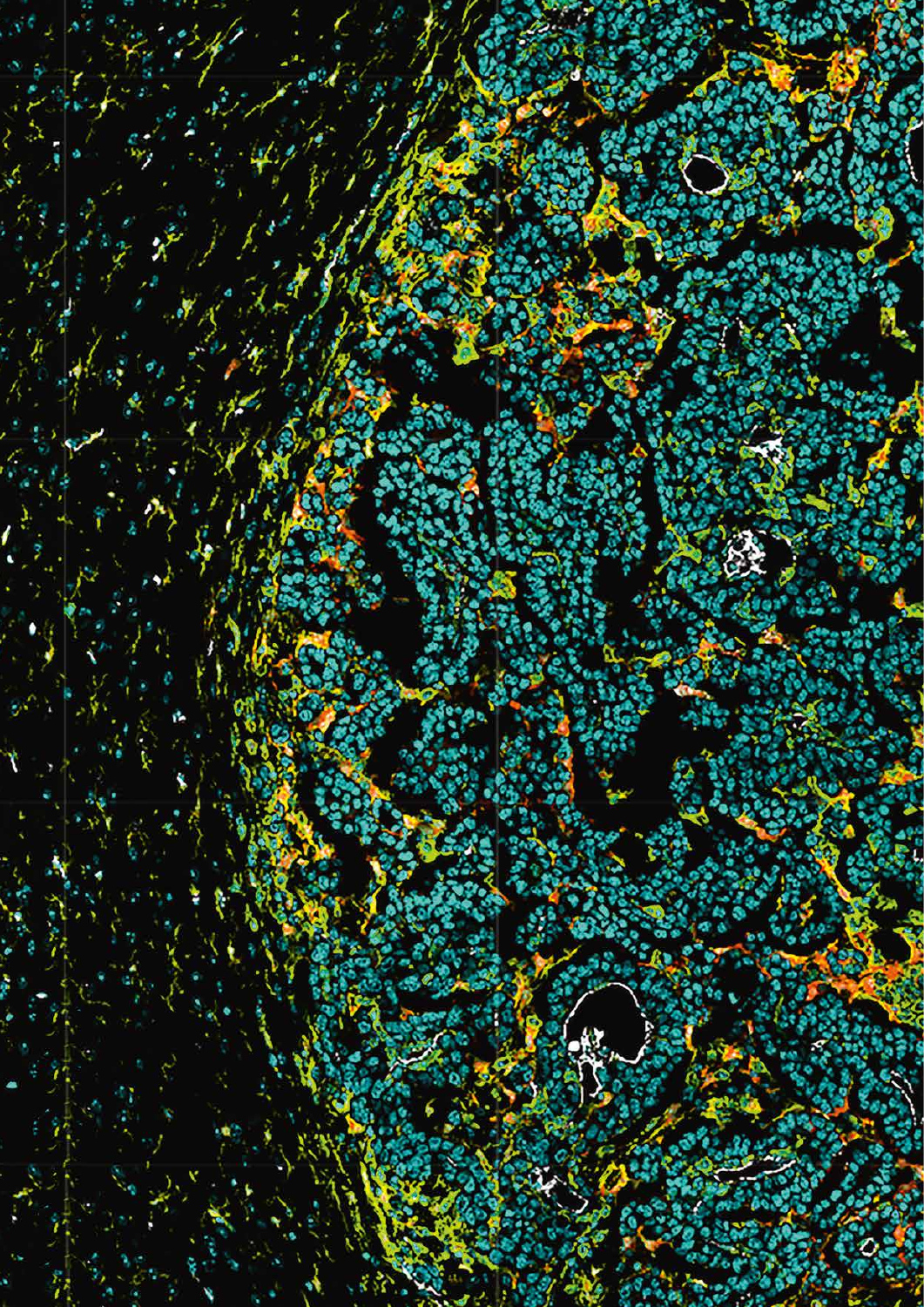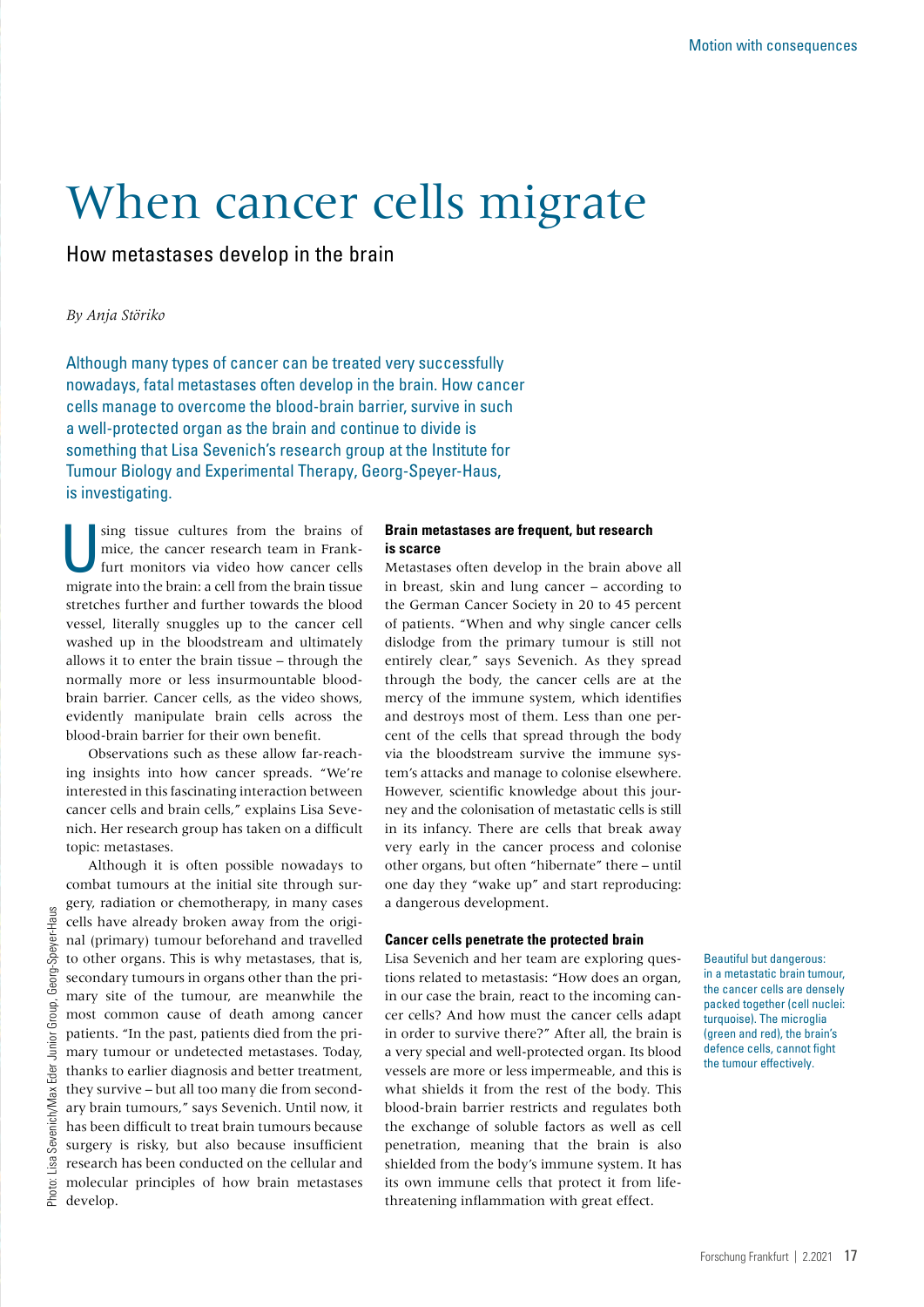# When cancer cells migrate

How metastases develop in the brain

#### *By Anja Störiko*

Although many types of cancer can be treated very successfully nowadays, fatal metastases often develop in the brain. How cancer cells manage to overcome the blood-brain barrier, survive in such a well-protected organ as the brain and continue to divide is something that Lisa Sevenich's research group at the Institute for Tumour Biology and Experimental Therapy, Georg-Speyer-Haus, is investigating.

sing tissue cultures from the brains of mice, the cancer research team in Frank-<br>furt monitors via video how cancer cells<br>minute into the brain a sell from the brain tissue. mice, the cancer research team in Frankmigrate into the brain: a cell from the brain tissue stretches further and further towards the blood vessel, literally snuggles up to the cancer cell washed up in the bloodstream and ultimately allows it to enter the brain tissue – through the normally more or less insurmountable bloodbrain barrier. Cancer cells, as the video shows, evidently manipulate brain cells across the blood-brain barrier for their own benefit.

Observations such as these allow far-reaching insights into how cancer spreads. "We're interested in this fascinating interaction between cancer cells and brain cells," explains Lisa Sevenich. Her research group has taken on a difficult topic: metastases.

Although it is often possible nowadays to combat tumours at the initial site through surgery, radiation or chemotherapy, in many cases cells have already broken away from the original (primary) tumour beforehand and travelled to other organs. This is why metastases, that is, secondary tumours in organs other than the primary site of the tumour, are meanwhile the most common cause of death among cancer patients. "In the past, patients died from the primary tumour or undetected metastases. Today, thanks to earlier diagnosis and better treatment, they survive – but all too many die from secondary brain tumours," says Sevenich. Until now, it has been difficult to treat brain tumours because surgery is risky, but also because insufficient research has been conducted on the cellular and molecular principles of how brain metastases develop.

Photo: Lisa Sevenich/Max Eder Junior Group, Georg-Speyer-Haus

Fder Junior

Sevenich/Max

Photo: Lisa

Group,

Georg-Speyer-Haus

### **Brain metastases are frequent, but research is scarce**

Metastases often develop in the brain above all in breast, skin and lung cancer – according to the German Cancer Society in 20 to 45 percent of patients. "When and why single cancer cells dislodge from the primary tumour is still not entirely clear," says Sevenich. As they spread through the body, the cancer cells are at the mercy of the immune system, which identifies and destroys most of them. Less than one percent of the cells that spread through the body via the bloodstream survive the immune system's attacks and manage to colonise elsewhere. However, scientific knowledge about this journey and the colonisation of metastatic cells is still in its infancy. There are cells that break away very early in the cancer process and colonise other organs, but often "hibernate" there – until one day they "wake up" and start reproducing: a dangerous development.

#### **Cancer cells penetrate the protected brain**

Lisa Sevenich and her team are exploring questions related to metastasis: "How does an organ, in our case the brain, react to the incoming cancer cells? And how must the cancer cells adapt in order to survive there?" After all, the brain is a very special and well-protected organ. Its blood vessels are more or less impermeable, and this is what shields it from the rest of the body. This blood-brain barrier restricts and regulates both the exchange of soluble factors as well as cell penetration, meaning that the brain is also shielded from the body's immune system. It has its own immune cells that protect it from lifethreatening inflammation with great effect.

Beautiful but dangerous: in a metastatic brain tumour, the cancer cells are densely packed together (cell nuclei: turquoise). The microglia (green and red), the brain's defence cells, cannot fight the tumour effectively.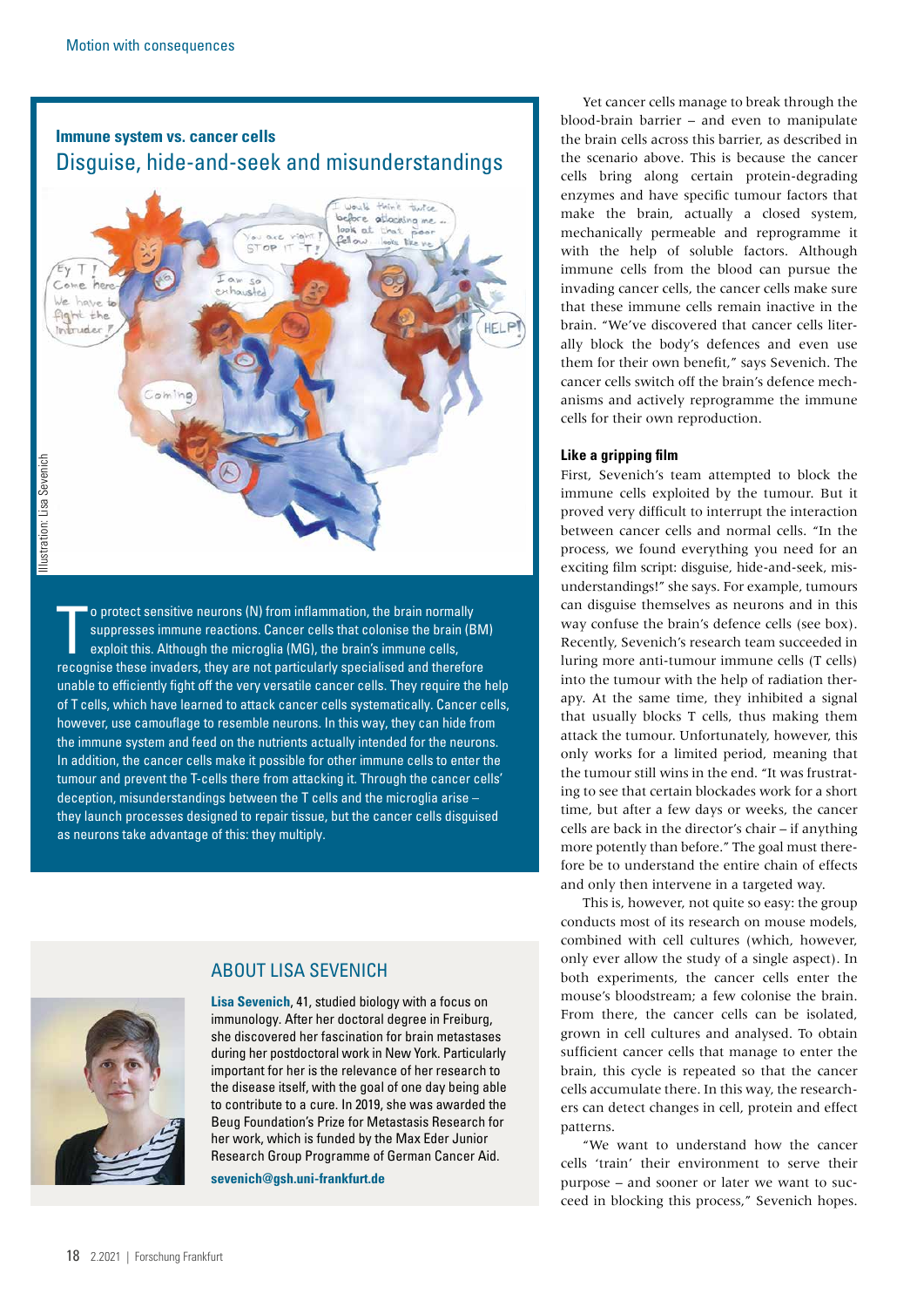

The protect sensitive neurons (N) from inflammation, the brain normally<br>suppresses immune reactions. Cancer cells that colonise the brain (BN<br>exploit this. Although the microglia (MG), the brain's immune cells,<br>recognise t o protect sensitive neurons (N) from inflammation, the brain normally suppresses immune reactions. Cancer cells that colonise the brain (BM) exploit this. Although the microglia (MG), the brain's immune cells, unable to efficiently fight off the very versatile cancer cells. They require the help of T cells, which have learned to attack cancer cells systematically. Cancer cells, however, use camouflage to resemble neurons. In this way, they can hide from the immune system and feed on the nutrients actually intended for the neurons. In addition, the cancer cells make it possible for other immune cells to enter the tumour and prevent the T-cells there from attacking it. Through the cancer cells' deception, misunderstandings between the T cells and the microglia arise – they launch processes designed to repair tissue, but the cancer cells disguised as neurons take advantage of this: they multiply.



## ABOUT LISA SEVENICH

**Lisa Sevenich**, 41, studied biology with a focus on immunology. After her doctoral degree in Freiburg, she discovered her fascination for brain metastases during her postdoctoral work in New York. Particularly important for her is the relevance of her research to the disease itself, with the goal of one day being able to contribute to a cure. In 2019, she was awarded the Beug Foundation's Prize for Metastasis Research for her work, which is funded by the Max Eder Junior Research Group Programme of German Cancer Aid.

**[sevenich@gsh.uni-frankfurt.de](mailto:sevenich@gsh.uni-frankfurt.de)**

Yet cancer cells manage to break through the blood-brain barrier – and even to manipulate the brain cells across this barrier, as described in the scenario above. This is because the cancer cells bring along certain protein-degrading enzymes and have specific tumour factors that make the brain, actually a closed system, mechanically permeable and reprogramme it with the help of soluble factors. Although immune cells from the blood can pursue the invading cancer cells, the cancer cells make sure that these immune cells remain inactive in the brain. "We've discovered that cancer cells literally block the body's defences and even use them for their own benefit," says Sevenich. The cancer cells switch off the brain's defence mechanisms and actively reprogramme the immune cells for their own reproduction.

#### **Like a gripping film**

First, Sevenich's team attempted to block the immune cells exploited by the tumour. But it proved very difficult to interrupt the interaction between cancer cells and normal cells. "In the process, we found everything you need for an exciting film script: disguise, hide-and-seek, misunderstandings!" she says. For example, tumours can disguise themselves as neurons and in this way confuse the brain's defence cells (see box). Recently, Sevenich's research team succeeded in luring more anti-tumour immune cells (T cells) into the tumour with the help of radiation therapy. At the same time, they inhibited a signal that usually blocks T cells, thus making them attack the tumour. Unfortunately, however, this only works for a limited period, meaning that the tumour still wins in the end. "It was frustrating to see that certain blockades work for a short time, but after a few days or weeks, the cancer cells are back in the director's chair – if anything more potently than before." The goal must therefore be to understand the entire chain of effects and only then intervene in a targeted way.

This is, however, not quite so easy: the group conducts most of its research on mouse models, combined with cell cultures (which, however, only ever allow the study of a single aspect). In both experiments, the cancer cells enter the mouse's bloodstream; a few colonise the brain. From there, the cancer cells can be isolated, grown in cell cultures and analysed. To obtain sufficient cancer cells that manage to enter the brain, this cycle is repeated so that the cancer cells accumulate there. In this way, the researchers can detect changes in cell, protein and effect patterns.

"We want to understand how the cancer cells 'train' their environment to serve their purpose – and sooner or later we want to succeed in blocking this process," Sevenich hopes.